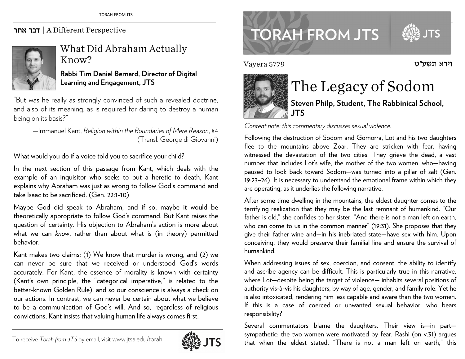## אחר דבר | A Different Perspective



What Did Abraham Actually Know?

**Rabbi Tim Daniel Bernard, Director of Digital Learning and Engagement, JTS** 

"But was he really as strongly convinced of such a revealed doctrine, and also of its meaning, as is required for daring to destroy a human being on its basis?"

—Immanuel Kant, *Religion within the Boundaries of Mere Reason*, §4 (Transl. George di Giovanni)

What would you do if a voice told you to sacrifice your child?

In the next section of this passage from Kant, which deals with the example of an inquisitor who seeks to put a heretic to death, Kant explains why Abraham was just as wrong to follow God's command and take Isaac to be sacrificed. (Gen. 22:1-10)

Maybe God did speak to Abraham, and if so, maybe it would be theoretically appropriate to follow God's command. But Kant raises the question of certainty. His objection to Abraham's action is more about what we can *know*, rather than about what is (in theory) permitted behavior.

Kant makes two claims: (1) We know that murder is wrong, and (2) we can never be sure that we received or understood God's words accurately. For Kant, the essence of morality is known with certainty (Kant's own principle, the "categorical imperative," is related to the better-known Golden Rule), and so our conscience is always a check on our actions. In contrast, we can never be certain about what we believe to be a communication of God's will. And so, regardless of religious convictions, Kant insists that valuing human life always comes first.



www.jtsa.edu/torah international contractors and the contractors of the contractors of the contractors of the contractors of the contractors of the contractors of the contractors of the contractors of the contractors of th **TORAH FROM JTS** 

Vayera 5779



## The Legacy of Sodom

**Steven Philp, Student, The Rabbinical School, JTS** 

וירא תשע"ט

*Content note: this commentary discusses sexual violence.* 

Following the destruction of Sodom and Gomorra, Lot and his two daughters flee to the mountains above Zoar. They are stricken with fear, having witnessed the devastation of the two cities. They grieve the dead, a vast number that includes Lot's wife, the mother of the two women, who—having paused to look back toward Sodom—was turned into a pillar of salt (Gen. 19:23–26). It is necessary to understand the emotional frame within which they are operating, as it underlies the following narrative.

After some time dwelling in the mountains, the eldest daughter comes to the terrifying realization that they may be the last remnant of humankind. "Our father is old," she confides to her sister. "And there is not a man left on earth, who can come to us in the common manner" (19:31). She proposes that they <sup>g</sup>ive their father wine and—in his inebriated state—have sex with him. Upon conceiving, they would preserve their familial line and ensure the survival of humankind.

When addressing issues of sex, coercion, and consent, the ability to identify and ascribe agency can be difficult. This is particularly true in this narrative, where Lot—despite being the target of violence— inhabits several positions of authority vis-à-vis his daughters, by way of age, gender, and family role. Yet he is also intoxicated, rendering him less capable and aware than the two women. If this is a case of coerced or unwanted sexual behavior, who bears responsibility?

Several commentators blame the daughters. Their view is—in part sympathetic: the two women were motivated by fear. Rashi (on v.31) argues that when the eldest stated, "There is not a man left on earth," this